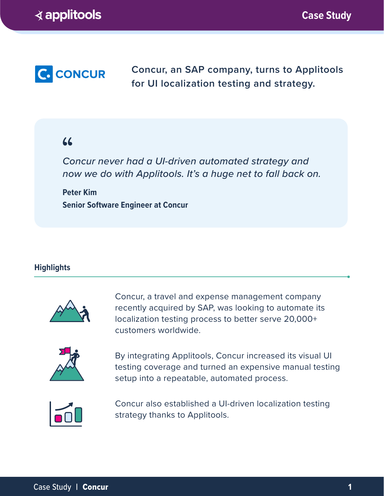

**Concur, an SAP company, turns to Applitools for UI localization testing and strategy.**

# $66$

*Concur never had a UI-driven automated strategy and now we do with Applitools. It's a huge net to fall back on.*

**Peter Kim Senior Software Engineer at Concur**

## **Highlights**



Concur, a travel and expense management company recently acquired by SAP, was looking to automate its localization testing process to better serve 20,000+ customers worldwide.



By integrating Applitools, Concur increased its visual UI testing coverage and turned an expensive manual testing setup into a repeatable, automated process.



Concur also established a UI-driven localization testing strategy thanks to Applitools.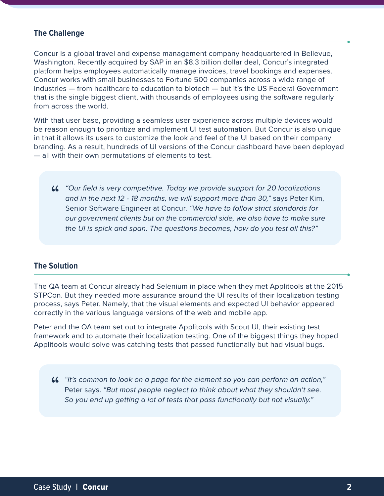#### **The Challenge**

Concur is a global travel and expense management company headquartered in Bellevue, Washington. Recently acquired by SAP in an \$8.3 billion dollar deal, Concur's integrated platform helps employees automatically manage invoices, travel bookings and expenses. Concur works with small businesses to Fortune 500 companies across a wide range of industries — from healthcare to education to biotech — but it's the US Federal Government that is the single biggest client, with thousands of employees using the software regularly from across the world.

With that user base, providing a seamless user experience across multiple devices would be reason enough to prioritize and implement UI test automation. But Concur is also unique in that it allows its users to customize the look and feel of the UI based on their company branding. As a result, hundreds of UI versions of the Concur dashboard have been deployed — all with their own permutations of elements to test.

*"Our field is very competitive. Today we provide support for 20 localizations*  " *and in the next 12 - 18 months, we will support more than 30,"* says Peter Kim, Senior Software Engineer at Concur*. "We have to follow strict standards for our government clients but on the commercial side, we also have to make sure the UI is spick and span. The questions becomes, how do you test all this?"*

### **The Solution**

The QA team at Concur already had Selenium in place when they met Applitools at the 2015 STPCon. But they needed more assurance around the UI results of their localization testing process, says Peter. Namely, that the visual elements and expected UI behavior appeared correctly in the various language versions of the web and mobile app.

Peter and the QA team set out to integrate Applitools with Scout UI, their existing test framework and to automate their localization testing. One of the biggest things they hoped Applitools would solve was catching tests that passed functionally but had visual bugs.

*"It's common to look on a page for the element so you can perform an action,"*  "Peter says. *"But most people neglect to think about what they shouldn't see. So you end up getting a lot of tests that pass functionally but not visually."*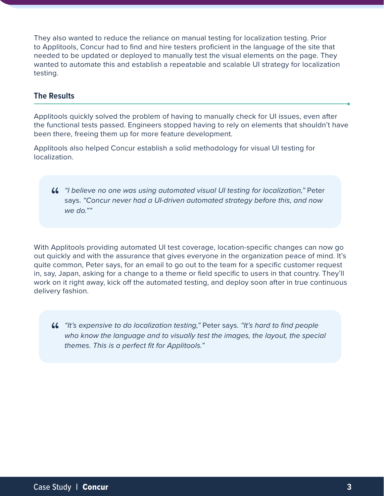They also wanted to reduce the reliance on manual testing for localization testing. Prior to Applitools, Concur had to find and hire testers proficient in the language of the site that needed to be updated or deployed to manually test the visual elements on the page. They wanted to automate this and establish a repeatable and scalable UI strategy for localization testing.

#### **The Results**

Applitools quickly solved the problem of having to manually check for UI issues, even after the functional tests passed. Engineers stopped having to rely on elements that shouldn't have been there, freeing them up for more feature development.

Applitools also helped Concur establish a solid methodology for visual UI testing for localization.

**46** "I believe no one was using automated visual UI testing for localization," Peter says. "Concur never had a UI-driven automated strategy before this, and now says. *"Concur never had a UI-driven automated strategy before this, and now we do.""*

With Applitools providing automated UI test coverage, location-specific changes can now go out quickly and with the assurance that gives everyone in the organization peace of mind. It's quite common, Peter says, for an email to go out to the team for a specific customer request in, say, Japan, asking for a change to a theme or field specific to users in that country. They'll work on it right away, kick off the automated testing, and deploy soon after in true continuous delivery fashion.

*"It's expensive to do localization testing,"* Peter says. *"It's hard to find people*  "who know the language and to visually test the images, the layout, the special *themes. This is a perfect fit for Applitools."*